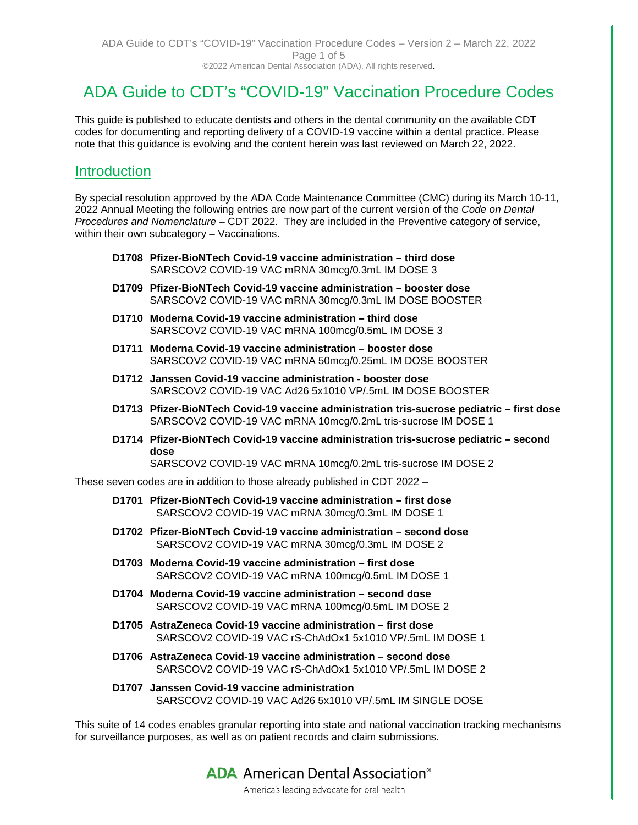# ADA Guide to CDT's "COVID-19" Vaccination Procedure Codes

This guide is published to educate dentists and others in the dental community on the available CDT codes for documenting and reporting delivery of a COVID-19 vaccine within a dental practice. Please note that this guidance is evolving and the content herein was last reviewed on March 22, 2022.

# **Introduction**

By special resolution approved by the ADA Code Maintenance Committee (CMC) during its March 10-11, 2022 Annual Meeting the following entries are now part of the current version of the *Code on Dental Procedures and Nomenclature* – CDT 2022. They are included in the Preventive category of service, within their own subcategory - Vaccinations.

- **D1708 Pfizer-BioNTech Covid-19 vaccine administration – third dose** SARSCOV2 COVID-19 VAC mRNA 30mcg/0.3mL IM DOSE 3
- **D1709 Pfizer-BioNTech Covid-19 vaccine administration – booster dose** SARSCOV2 COVID-19 VAC mRNA 30mcg/0.3mL IM DOSE BOOSTER
- **D1710 Moderna Covid-19 vaccine administration – third dose** SARSCOV2 COVID-19 VAC mRNA 100mcg/0.5mL IM DOSE 3
- **D1711 Moderna Covid-19 vaccine administration – booster dose** SARSCOV2 COVID-19 VAC mRNA 50mcg/0.25mL IM DOSE BOOSTER
- **D1712 Janssen Covid-19 vaccine administration - booster dose** SARSCOV2 COVID-19 VAC Ad26 5x1010 VP/.5mL IM DOSE BOOSTER
- **D1713 Pfizer-BioNTech Covid-19 vaccine administration tris-sucrose pediatric – first dose** SARSCOV2 COVID-19 VAC mRNA 10mcg/0.2mL tris-sucrose IM DOSE 1
- **D1714 Pfizer-BioNTech Covid-19 vaccine administration tris-sucrose pediatric – second dose**

SARSCOV2 COVID-19 VAC mRNA 10mcg/0.2mL tris-sucrose IM DOSE 2

These seven codes are in addition to those already published in CDT 2022 –

- **D1701 Pfizer-BioNTech Covid-19 vaccine administration – first dose** SARSCOV2 COVID-19 VAC mRNA 30mcg/0.3mL IM DOSE 1
- **D1702 Pfizer-BioNTech Covid-19 vaccine administration – second dose** SARSCOV2 COVID-19 VAC mRNA 30mcg/0.3mL IM DOSE 2
- **D1703 Moderna Covid-19 vaccine administration – first dose** SARSCOV2 COVID-19 VAC mRNA 100mcg/0.5mL IM DOSE 1
- **D1704 Moderna Covid-19 vaccine administration – second dose** SARSCOV2 COVID-19 VAC mRNA 100mcg/0.5mL IM DOSE 2
- **D1705 AstraZeneca Covid-19 vaccine administration – first dose** SARSCOV2 COVID-19 VAC rS-ChAdOx1 5x1010 VP/.5mL IM DOSE 1
- **D1706 AstraZeneca Covid-19 vaccine administration – second dose** SARSCOV2 COVID-19 VAC rS-ChAdOx1 5x1010 VP/ 5mL IM DOSE 2
- **D1707 Janssen Covid-19 vaccine administration** SARSCOV2 COVID-19 VAC Ad26 5x1010 VP/.5mL IM SINGLE DOSE

This suite of 14 codes enables granular reporting into state and national vaccination tracking mechanisms for surveillance purposes, as well as on patient records and claim submissions.

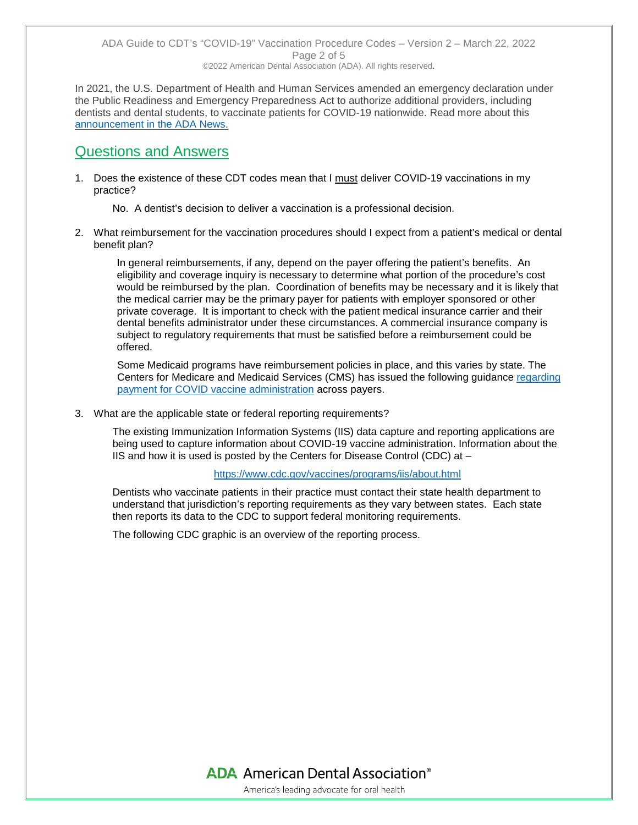In 2021, the U.S. Department of Health and Human Services amended an emergency declaration under the Public Readiness and Emergency Preparedness Act to authorize additional providers, including dentists and dental students, to vaccinate patients for COVID-19 nationwide. Read more about this [announcement in the ADA News.](https://www.ada.org/publications/ada-news/2021/march/dentists-dental-students-among-providers-now-authorized-to-administer-covid-19-vaccine-nationwide)

# Questions and Answers

1. Does the existence of these CDT codes mean that I must deliver COVID-19 vaccinations in my practice?

No. A dentist's decision to deliver a vaccination is a professional decision.

2. What reimbursement for the vaccination procedures should I expect from a patient's medical or dental benefit plan?

In general reimbursements, if any, depend on the payer offering the patient's benefits. An eligibility and coverage inquiry is necessary to determine what portion of the procedure's cost would be reimbursed by the plan. Coordination of benefits may be necessary and it is likely that the medical carrier may be the primary payer for patients with employer sponsored or other private coverage. It is important to check with the patient medical insurance carrier and their dental benefits administrator under these circumstances. A commercial insurance company is subject to regulatory requirements that must be satisfied before a reimbursement could be offered.

Some Medicaid programs have reimbursement policies in place, and this varies by state. The Centers for Medicare and Medicaid Services (CMS) has issued the following guidance [regarding](https://www.cms.gov/medicare/covid-19/medicare-covid-19-vaccine-shot-payment)  [payment for COVID vaccine administration](https://www.cms.gov/medicare/covid-19/medicare-covid-19-vaccine-shot-payment) across payers.

3. What are the applicable state or federal reporting requirements?

The existing Immunization Information Systems (IIS) data capture and reporting applications are being used to capture information about COVID-19 vaccine administration. Information about the IIS and how it is used is posted by the Centers for Disease Control (CDC) at –

<https://www.cdc.gov/vaccines/programs/iis/about.html>

Dentists who vaccinate patients in their practice must contact their state health department to understand that jurisdiction's reporting requirements as they vary between states. Each state then reports its data to the CDC to support federal monitoring requirements.

The following CDC graphic is an overview of the reporting process.

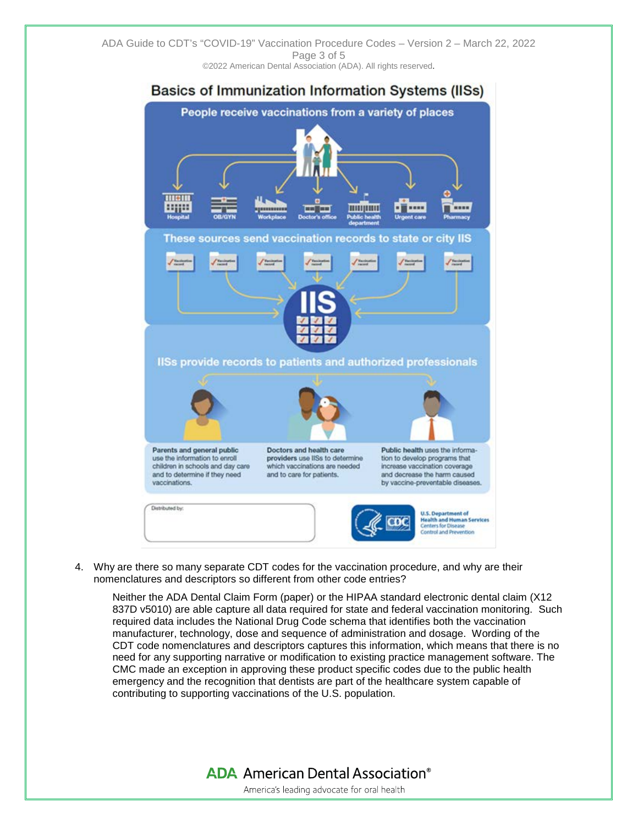

4. Why are there so many separate CDT codes for the vaccination procedure, and why are their nomenclatures and descriptors so different from other code entries?

Neither the ADA Dental Claim Form (paper) or the HIPAA standard electronic dental claim (X12 837D v5010) are able capture all data required for state and federal vaccination monitoring. Such required data includes the National Drug Code schema that identifies both the vaccination manufacturer, technology, dose and sequence of administration and dosage. Wording of the CDT code nomenclatures and descriptors captures this information, which means that there is no need for any supporting narrative or modification to existing practice management software. The CMC made an exception in approving these product specific codes due to the public health emergency and the recognition that dentists are part of the healthcare system capable of contributing to supporting vaccinations of the U.S. population.

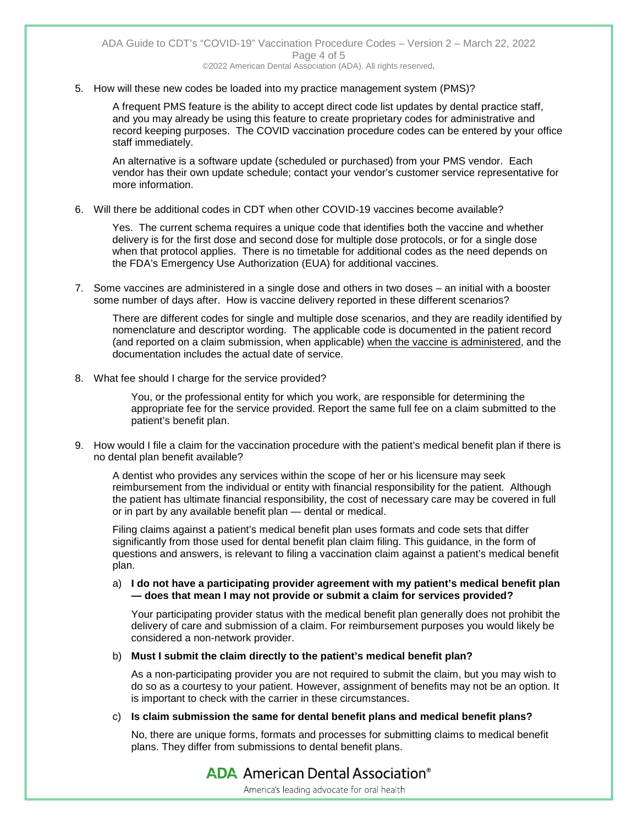5. How will these new codes be loaded into my practice management system (PMS)?

A frequent PMS feature is the ability to accept direct code list updates by dental practice staff, and you may already be using this feature to create proprietary codes for administrative and record keeping purposes. The COVID vaccination procedure codes can be entered by your office staff immediately.

An alternative is a software update (scheduled or purchased) from your PMS vendor. Each vendor has their own update schedule; contact your vendor's customer service representative for more information.

6. Will there be additional codes in CDT when other COVID-19 vaccines become available?

Yes. The current schema requires a unique code that identifies both the vaccine and whether delivery is for the first dose and second dose for multiple dose protocols, or for a single dose when that protocol applies. There is no timetable for additional codes as the need depends on the FDA's Emergency Use Authorization (EUA) for additional vaccines.

7. Some vaccines are administered in a single dose and others in two doses – an initial with a booster some number of days after. How is vaccine delivery reported in these different scenarios?

There are different codes for single and multiple dose scenarios, and they are readily identified by nomenclature and descriptor wording. The applicable code is documented in the patient record (and reported on a claim submission, when applicable) when the vaccine is administered, and the documentation includes the actual date of service.

8. What fee should I charge for the service provided?

You, or the professional entity for which you work, are responsible for determining the appropriate fee for the service provided. Report the same full fee on a claim submitted to the patient's benefit plan.

9. How would I file a claim for the vaccination procedure with the patient's medical benefit plan if there is no dental plan benefit available?

A dentist who provides any services within the scope of her or his licensure may seek reimbursement from the individual or entity with financial responsibility for the patient. Although the patient has ultimate financial responsibility, the cost of necessary care may be covered in full or in part by any available benefit plan — dental or medical.

Filing claims against a patient's medical benefit plan uses formats and code sets that differ significantly from those used for dental benefit plan claim filing. This guidance, in the form of questions and answers, is relevant to filing a vaccination claim against a patient's medical benefit plan.

### a) **I do not have a participating provider agreement with my patient's medical benefit plan — does that mean I may not provide or submit a claim for services provided?**

Your participating provider status with the medical benefit plan generally does not prohibit the delivery of care and submission of a claim. For reimbursement purposes you would likely be considered a non-network provider.

## b) **Must I submit the claim directly to the patient's medical benefit plan?**

As a non-participating provider you are not required to submit the claim, but you may wish to do so as a courtesy to your patient. However, assignment of benefits may not be an option. It is important to check with the carrier in these circumstances.

## c) **Is claim submission the same for dental benefit plans and medical benefit plans?**

No, there are unique forms, formats and processes for submitting claims to medical benefit plans. They differ from submissions to dental benefit plans.